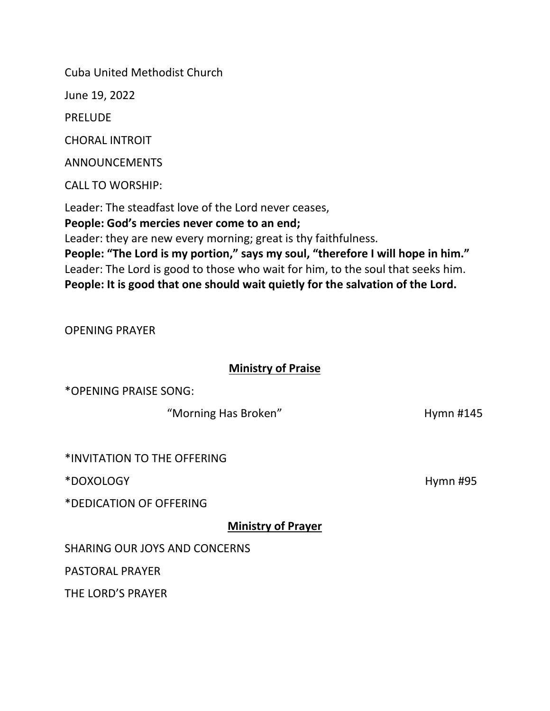Cuba United Methodist Church

June 19, 2022

PRELUDE

CHORAL INTROIT

ANNOUNCEMENTS

CALL TO WORSHIP:

Leader: The steadfast love of the Lord never ceases, **People: God's mercies never come to an end;** Leader: they are new every morning; great is thy faithfulness. **People: "The Lord is my portion," says my soul, "therefore I will hope in him."** Leader: The Lord is good to those who wait for him, to the soul that seeks him.

**People: It is good that one should wait quietly for the salvation of the Lord.** 

OPENING PRAYER

## **Ministry of Praise**

\*OPENING PRAISE SONG:

"Morning Has Broken" Manus Alexander Muslim Hymn #145

\*INVITATION TO THE OFFERING

\*DOXOLOGY Hymn #95

\*DEDICATION OF OFFERING

**Ministry of Prayer**

SHARING OUR JOYS AND CONCERNS

PASTORAL PRAYER

THE LORD'S PRAYER